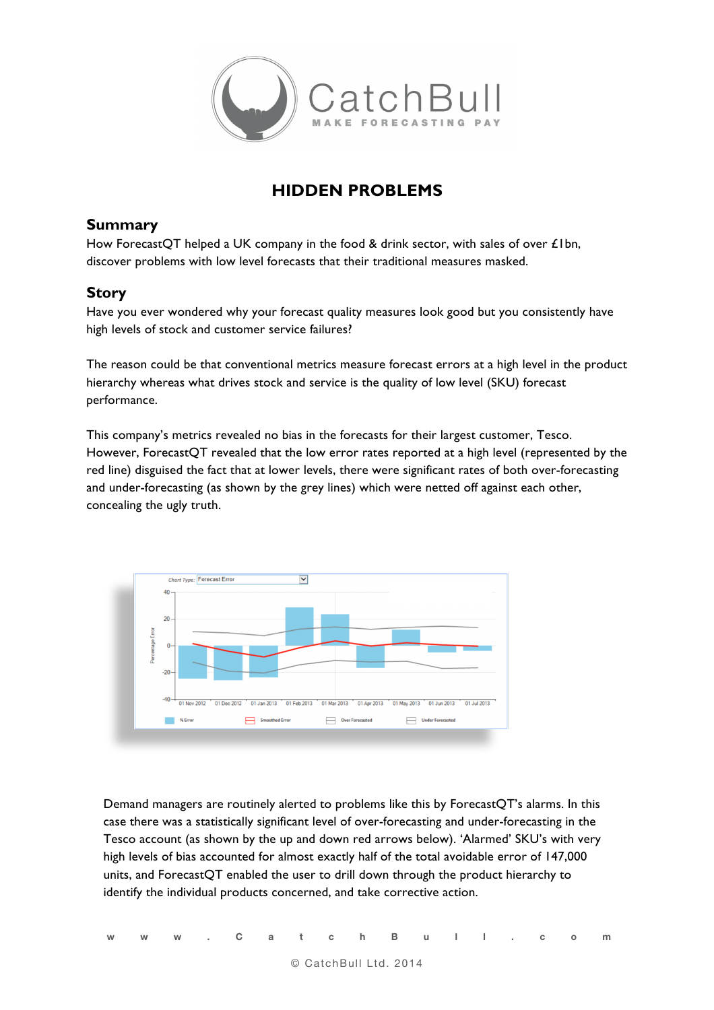

## **HIDDEN PROBLEMS**

## **Summary**

How ForecastOT helped a UK company in the food & drink sector, with sales of over £1bn, discover problems with low level forecasts that their traditional measures masked.

## **Story**

Have you ever wondered why your forecast quality measures look good but you consistently have high levels of stock and customer service failures?

The reason could be that conventional metrics measure forecast errors at a high level in the product hierarchy whereas what drives stock and service is the quality of low level (SKU) forecast performance.

This company's metrics revealed no bias in the forecasts for their largest customer, Tesco. However, ForecastQT revealed that the low error rates reported at a high level (represented by the red line) disguised the fact that at lower levels, there were significant rates of both over-forecasting and under-forecasting (as shown by the grey lines) which were netted off against each other, concealing the ugly truth.



Demand managers are routinely alerted to problems like this by ForecastQT's alarms. In this case there was a statistically significant level of over-forecasting and under-forecasting in the Tesco account (as shown by the up and down red arrows below). 'Alarmed' SKU's with very high levels of bias accounted for almost exactly half of the total avoidable error of 147,000 units, and ForecastQT enabled the user to drill down through the product hierarchy to identify the individual products concerned, and take corrective action.